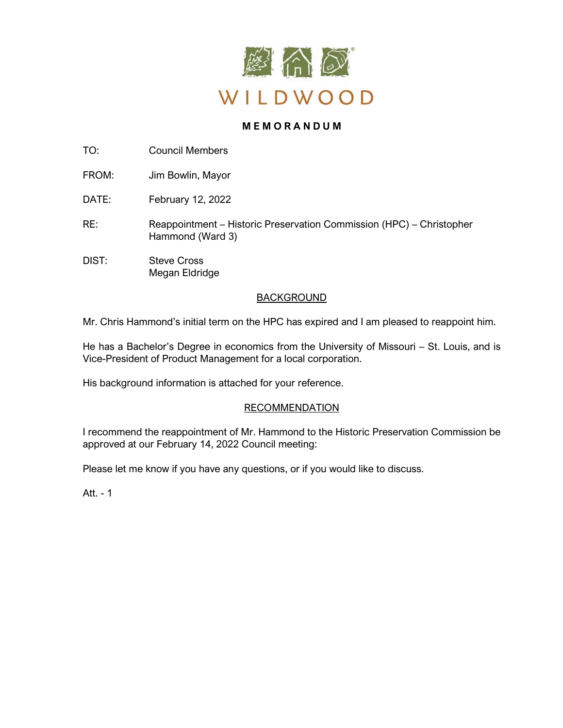

# **M E M O R A N D U M**

TO: Council Members

FROM: Jim Bowlin, Mayor

DATE: February 12, 2022

- RE: Reappointment – Historic Preservation Commission (HPC) – Christopher Hammond (Ward 3)
- DIST: Steve Cross Megan Eldridge

# BACKGROUND

Mr. Chris Hammond's initial term on the HPC has expired and I am pleased to reappoint him.

He has a Bachelor's Degree in economics from the University of Missouri – St. Louis, and is Vice-President of Product Management for a local corporation.

His background information is attached for your reference.

# RECOMMENDATION

I recommend the reappointment of Mr. Hammond to the Historic Preservation Commission be approved at our February 14, 2022 Council meeting:

Please let me know if you have any questions, or if you would like to discuss.

Att. - 1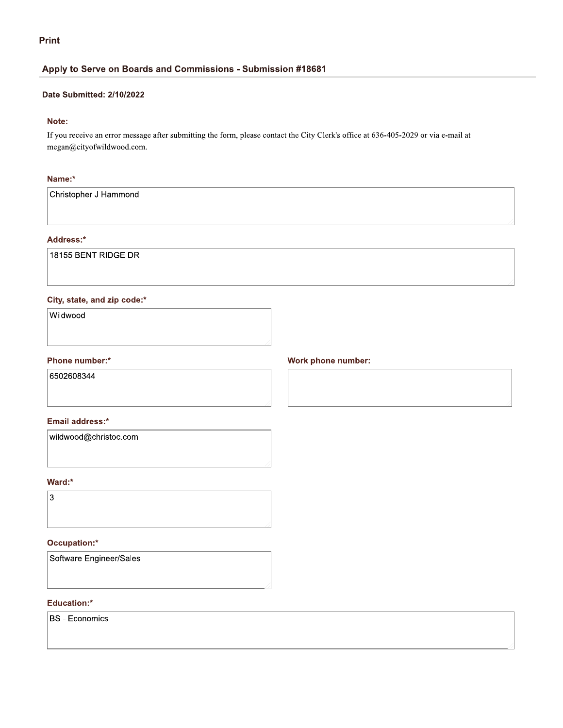## **Print**

## Apply to Serve on Boards and Commissions - Submission #18681

#### Date Submitted: 2/10/2022

## Note:

If you receive an error message after submitting the form, please contact the City Clerk's office at 636-405-2029 or via e-mail at megan@cityofwildwood.com.

## Name:\*

Christopher J Hammond

## Address:\*

18155 BENT RIDGE DR

## City, state, and zip code:\*

Wildwood

### Phone number:\*

6502608344

#### Email address:\*

wildwood@christoc.com

#### Ward:\*



### Occupation:\*

Software Engineer/Sales

#### Education:\*

**BS** - Economics

## Work phone number: